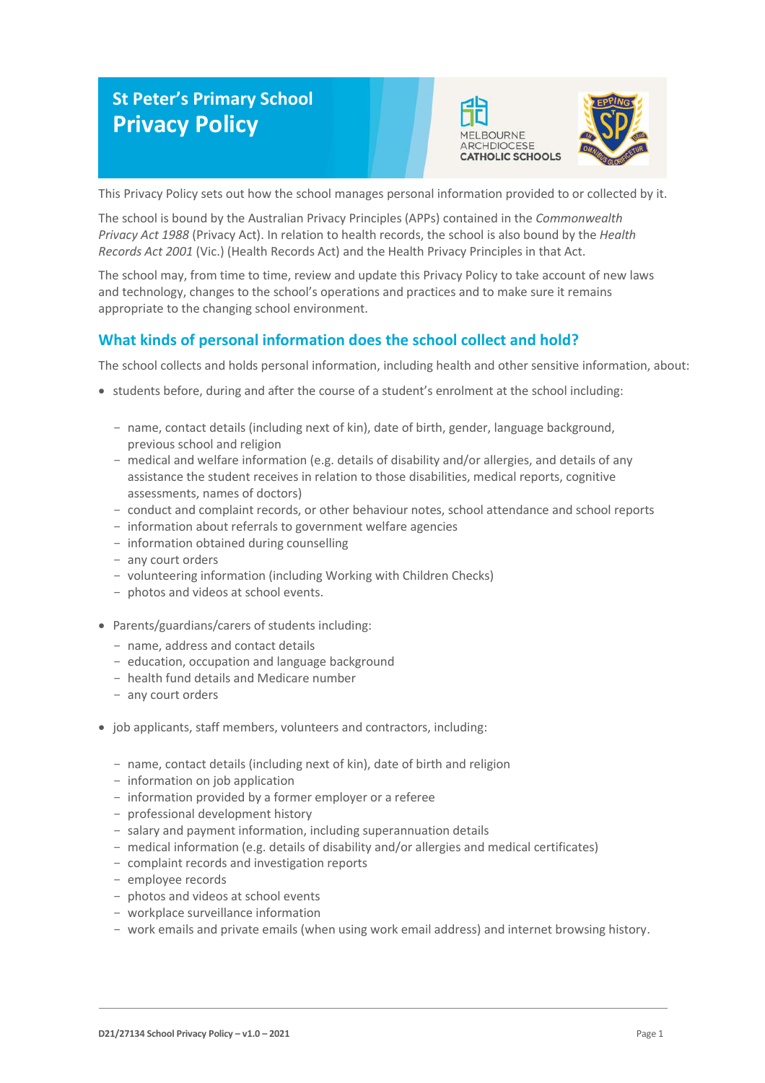# **St Peter's Primary School Privacy Policy**





This Privacy Policy sets out how the school manages personal information provided to or collected by it.

The school is bound by the Australian Privacy Principles (APPs) contained in the *Commonwealth Privacy Act 1988* (Privacy Act). In relation to health records, the school is also bound by the *Health Records Act 2001* (Vic.) (Health Records Act) and the Health Privacy Principles in that Act.

The school may, from time to time, review and update this Privacy Policy to take account of new laws and technology, changes to the school's operations and practices and to make sure it remains appropriate to the changing school environment.

# **What kinds of personal information does the school collect and hold?**

The school collects and holds personal information, including health and other sensitive information, about:

- students before, during and after the course of a student's enrolment at the school including:
	- name, contact details (including next of kin), date of birth, gender, language background, previous school and religion
	- medical and welfare information (e.g. details of disability and/or allergies, and details of any assistance the student receives in relation to those disabilities, medical reports, cognitive assessments, names of doctors)
	- conduct and complaint records, or other behaviour notes, school attendance and school reports
	- information about referrals to government welfare agencies
	- information obtained during counselling
	- any court orders
	- volunteering information (including Working with Children Checks)
	- photos and videos at school events.
- Parents/guardians/carers of students including:
	- name, address and contact details
	- education, occupation and language background
	- health fund details and Medicare number
	- any court orders
- job applicants, staff members, volunteers and contractors, including:
	- name, contact details (including next of kin), date of birth and religion
	- information on job application
	- information provided by a former employer or a referee
	- professional development history
	- salary and payment information, including superannuation details
	- medical information (e.g. details of disability and/or allergies and medical certificates)
	- complaint records and investigation reports
	- employee records
	- photos and videos at school events
	- workplace surveillance information
	- work emails and private emails (when using work email address) and internet browsing history.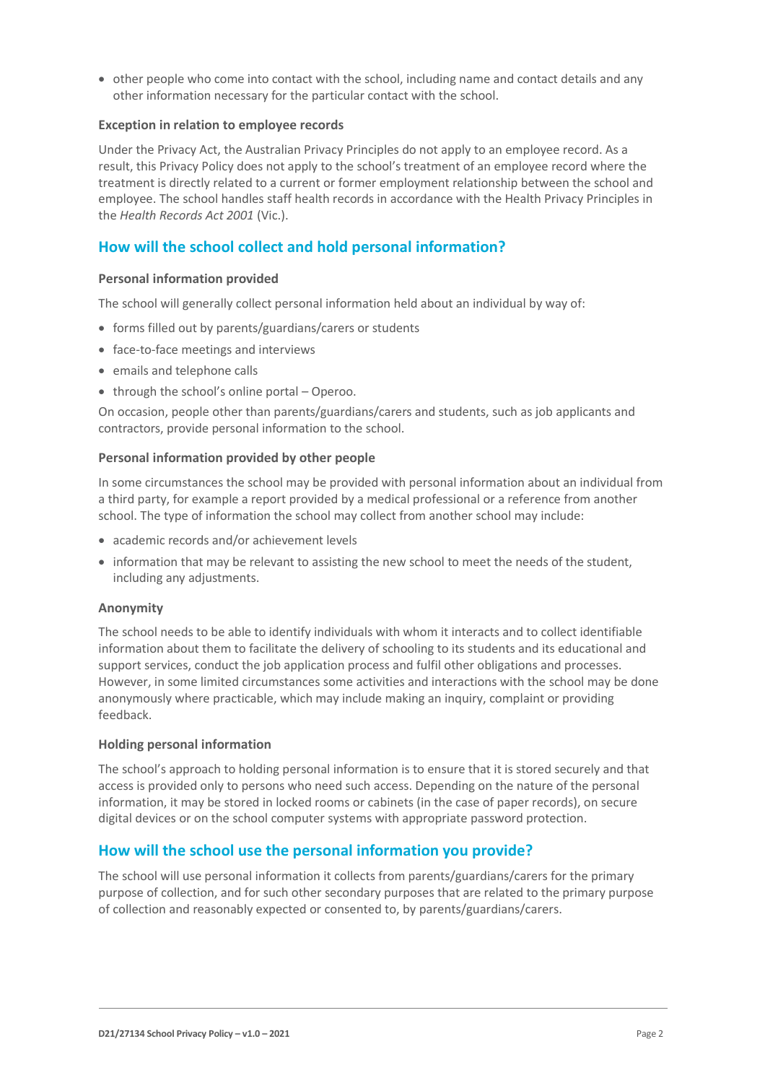• other people who come into contact with the school, including name and contact details and any other information necessary for the particular contact with the school.

#### **Exception in relation to employee records**

Under the Privacy Act, the Australian Privacy Principles do not apply to an employee record. As a result, this Privacy Policy does not apply to the school's treatment of an employee record where the treatment is directly related to a current or former employment relationship between the school and employee. The school handles staff health records in accordance with the Health Privacy Principles in the *Health Records Act 2001* (Vic.).

# **How will the school collect and hold personal information?**

#### **Personal information provided**

The school will generally collect personal information held about an individual by way of:

- forms filled out by parents/guardians/carers or students
- face-to-face meetings and interviews
- emails and telephone calls
- through the school's online portal Operoo.

On occasion, people other than parents/guardians/carers and students, such as job applicants and contractors, provide personal information to the school.

#### **Personal information provided by other people**

In some circumstances the school may be provided with personal information about an individual from a third party, for example a report provided by a medical professional or a reference from another school. The type of information the school may collect from another school may include:

- academic records and/or achievement levels
- information that may be relevant to assisting the new school to meet the needs of the student, including any adjustments.

#### **Anonymity**

The school needs to be able to identify individuals with whom it interacts and to collect identifiable information about them to facilitate the delivery of schooling to its students and its educational and support services, conduct the job application process and fulfil other obligations and processes. However, in some limited circumstances some activities and interactions with the school may be done anonymously where practicable, which may include making an inquiry, complaint or providing feedback.

#### **Holding personal information**

The school's approach to holding personal information is to ensure that it is stored securely and that access is provided only to persons who need such access. Depending on the nature of the personal information, it may be stored in locked rooms or cabinets (in the case of paper records), on secure digital devices or on the school computer systems with appropriate password protection.

# **How will the school use the personal information you provide?**

The school will use personal information it collects from parents/guardians/carers for the primary purpose of collection, and for such other secondary purposes that are related to the primary purpose of collection and reasonably expected or consented to, by parents/guardians/carers.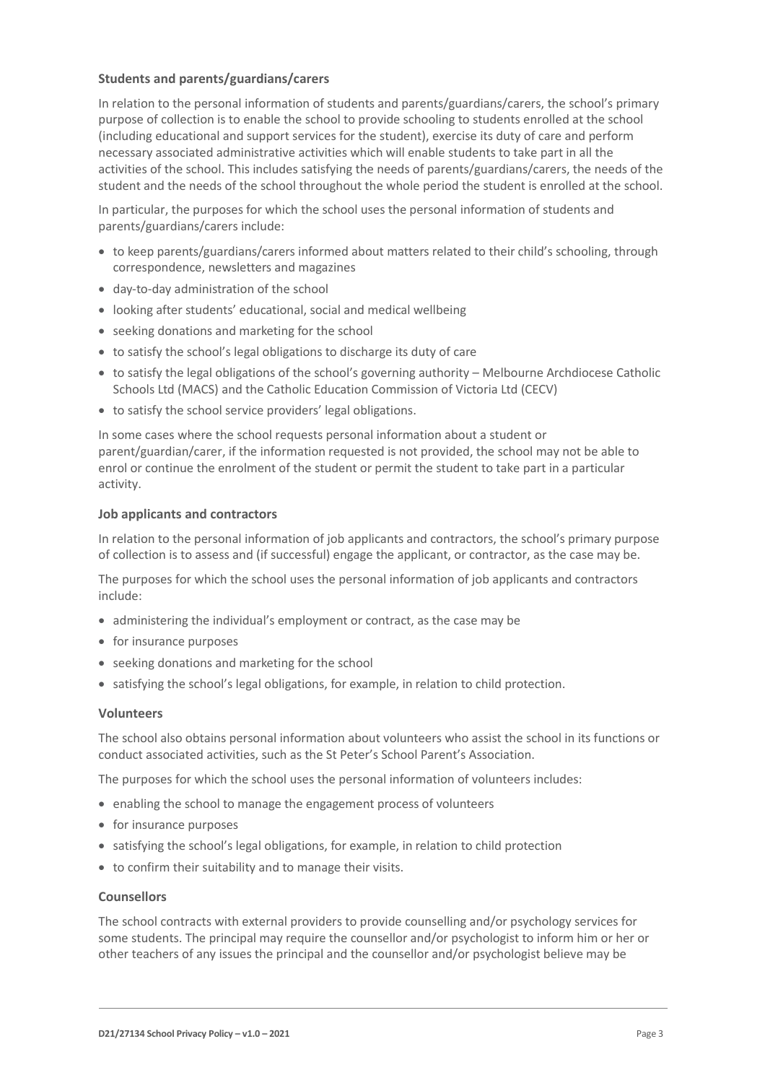### **Students and parents/guardians/carers**

In relation to the personal information of students and parents/guardians/carers, the school's primary purpose of collection is to enable the school to provide schooling to students enrolled at the school (including educational and support services for the student), exercise its duty of care and perform necessary associated administrative activities which will enable students to take part in all the activities of the school. This includes satisfying the needs of parents/guardians/carers, the needs of the student and the needs of the school throughout the whole period the student is enrolled at the school.

In particular, the purposes for which the school uses the personal information of students and parents/guardians/carers include:

- to keep parents/guardians/carers informed about matters related to their child's schooling, through correspondence, newsletters and magazines
- day-to-day administration of the school
- looking after students' educational, social and medical wellbeing
- seeking donations and marketing for the school
- to satisfy the school's legal obligations to discharge its duty of care
- to satisfy the legal obligations of the school's governing authority Melbourne Archdiocese Catholic Schools Ltd (MACS) and the Catholic Education Commission of Victoria Ltd (CECV)
- to satisfy the school service providers' legal obligations.

In some cases where the school requests personal information about a student or parent/guardian/carer, if the information requested is not provided, the school may not be able to enrol or continue the enrolment of the student or permit the student to take part in a particular activity.

#### **Job applicants and contractors**

In relation to the personal information of job applicants and contractors, the school's primary purpose of collection is to assess and (if successful) engage the applicant, or contractor, as the case may be.

The purposes for which the school uses the personal information of job applicants and contractors include:

- administering the individual's employment or contract, as the case may be
- for insurance purposes
- seeking donations and marketing for the school
- satisfying the school's legal obligations, for example, in relation to child protection.

#### **Volunteers**

The school also obtains personal information about volunteers who assist the school in its functions or conduct associated activities, such as the St Peter's School Parent's Association.

The purposes for which the school uses the personal information of volunteers includes:

- enabling the school to manage the engagement process of volunteers
- for insurance purposes
- satisfying the school's legal obligations, for example, in relation to child protection
- to confirm their suitability and to manage their visits.

#### **Counsellors**

The school contracts with external providers to provide counselling and/or psychology services for some students. The principal may require the counsellor and/or psychologist to inform him or her or other teachers of any issues the principal and the counsellor and/or psychologist believe may be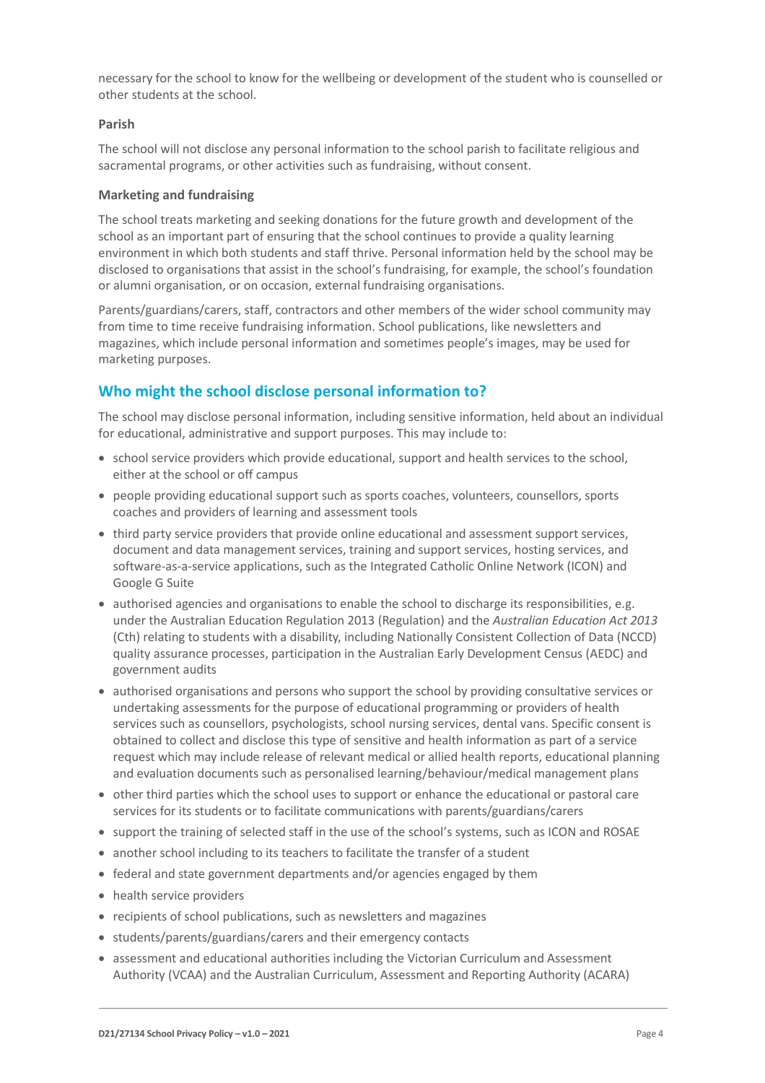necessary for the school to know for the wellbeing or development of the student who is counselled or other students at the school.

#### **Parish**

The school will not disclose any personal information to the school parish to facilitate religious and sacramental programs, or other activities such as fundraising, without consent.

#### **Marketing and fundraising**

The school treats marketing and seeking donations for the future growth and development of the school as an important part of ensuring that the school continues to provide a quality learning environment in which both students and staff thrive. Personal information held by the school may be disclosed to organisations that assist in the school's fundraising, for example, the school's foundation or alumni organisation, or on occasion, external fundraising organisations.

Parents/guardians/carers, staff, contractors and other members of the wider school community may from time to time receive fundraising information. School publications, like newsletters and magazines, which include personal information and sometimes people's images, may be used for marketing purposes.

# **Who might the school disclose personal information to?**

The school may disclose personal information, including sensitive information, held about an individual for educational, administrative and support purposes. This may include to:

- school service providers which provide educational, support and health services to the school, either at the school or off campus
- people providing educational support such as sports coaches, volunteers, counsellors, sports coaches and providers of learning and assessment tools
- third party service providers that provide online educational and assessment support services, document and data management services, training and support services, hosting services, and software-as-a-service applications, such as the Integrated Catholic Online Network (ICON) and Google G Suite
- authorised agencies and organisations to enable the school to discharge its responsibilities, e.g. under the Australian Education Regulation 2013 (Regulation) and the *Australian Education Act 2013* (Cth) relating to students with a disability, including Nationally Consistent Collection of Data (NCCD) quality assurance processes, participation in the Australian Early Development Census (AEDC) and government audits
- authorised organisations and persons who support the school by providing consultative services or undertaking assessments for the purpose of educational programming or providers of health services such as counsellors, psychologists, school nursing services, dental vans. Specific consent is obtained to collect and disclose this type of sensitive and health information as part of a service request which may include release of relevant medical or allied health reports, educational planning and evaluation documents such as personalised learning/behaviour/medical management plans
- other third parties which the school uses to support or enhance the educational or pastoral care services for its students or to facilitate communications with parents/guardians/carers
- support the training of selected staff in the use of the school's systems, such as ICON and ROSAE
- another school including to its teachers to facilitate the transfer of a student
- federal and state government departments and/or agencies engaged by them
- health service providers
- recipients of school publications, such as newsletters and magazines
- students/parents/guardians/carers and their emergency contacts
- assessment and educational authorities including the Victorian Curriculum and Assessment Authority (VCAA) and the Australian Curriculum, Assessment and Reporting Authority (ACARA)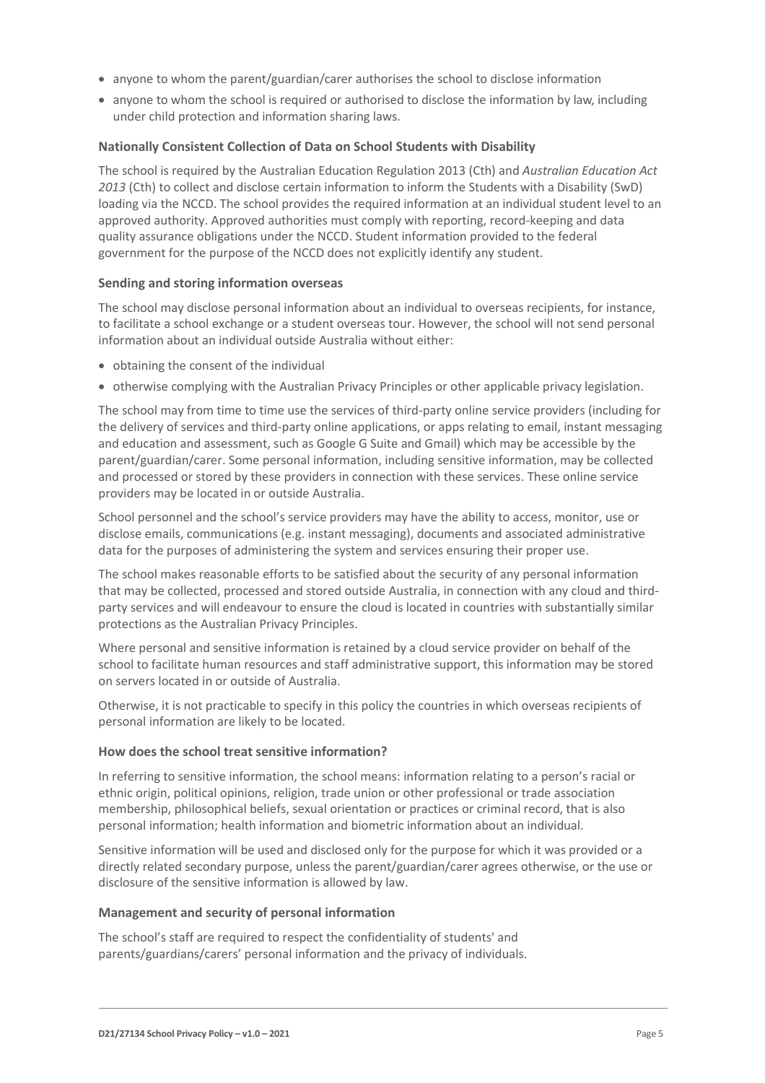- anyone to whom the parent/guardian/carer authorises the school to disclose information
- anyone to whom the school is required or authorised to disclose the information by law, including under child protection and information sharing laws.

#### **Nationally Consistent Collection of Data on School Students with Disability**

The school is required by the Australian Education Regulation 2013 (Cth) and *Australian Education Act 2013* (Cth) to collect and disclose certain information to inform the Students with a Disability (SwD) loading via the NCCD. The school provides the required information at an individual student level to an approved authority. Approved authorities must comply with reporting, record-keeping and data quality assurance obligations under the NCCD. Student information provided to the federal government for the purpose of the NCCD does not explicitly identify any student.

#### **Sending and storing information overseas**

The school may disclose personal information about an individual to overseas recipients, for instance, to facilitate a school exchange or a student overseas tour. However, the school will not send personal information about an individual outside Australia without either:

- obtaining the consent of the individual
- otherwise complying with the Australian Privacy Principles or other applicable privacy legislation.

The school may from time to time use the services of third-party online service providers (including for the delivery of services and third-party online applications, or apps relating to email, instant messaging and education and assessment, such as Google G Suite and Gmail) which may be accessible by the parent/guardian/carer. Some personal information, including sensitive information, may be collected and processed or stored by these providers in connection with these services. These online service providers may be located in or outside Australia.

School personnel and the school's service providers may have the ability to access, monitor, use or disclose emails, communications (e.g. instant messaging), documents and associated administrative data for the purposes of administering the system and services ensuring their proper use.

The school makes reasonable efforts to be satisfied about the security of any personal information that may be collected, processed and stored outside Australia, in connection with any cloud and thirdparty services and will endeavour to ensure the cloud is located in countries with substantially similar protections as the Australian Privacy Principles.

Where personal and sensitive information is retained by a cloud service provider on behalf of the school to facilitate human resources and staff administrative support, this information may be stored on servers located in or outside of Australia.

Otherwise, it is not practicable to specify in this policy the countries in which overseas recipients of personal information are likely to be located.

#### **How does the school treat sensitive information?**

In referring to sensitive information, the school means: information relating to a person's racial or ethnic origin, political opinions, religion, trade union or other professional or trade association membership, philosophical beliefs, sexual orientation or practices or criminal record, that is also personal information; health information and biometric information about an individual.

Sensitive information will be used and disclosed only for the purpose for which it was provided or a directly related secondary purpose, unless the parent/guardian/carer agrees otherwise, or the use or disclosure of the sensitive information is allowed by law.

#### **Management and security of personal information**

The school's staff are required to respect the confidentiality of students' and parents/guardians/carers' personal information and the privacy of individuals.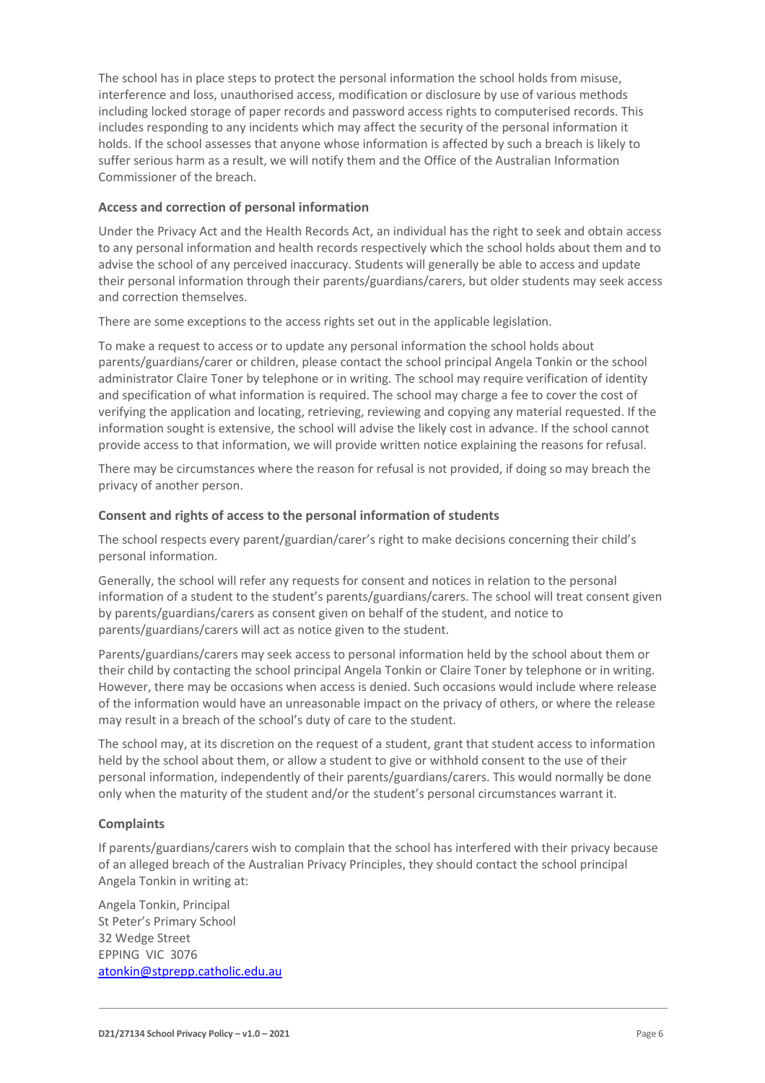The school has in place steps to protect the personal information the school holds from misuse, interference and loss, unauthorised access, modification or disclosure by use of various methods including locked storage of paper records and password access rights to computerised records. This includes responding to any incidents which may affect the security of the personal information it holds. If the school assesses that anyone whose information is affected by such a breach is likely to suffer serious harm as a result, we will notify them and the Office of the Australian Information Commissioner of the breach.

## **Access and correction of personal information**

Under the Privacy Act and the Health Records Act, an individual has the right to seek and obtain access to any personal information and health records respectively which the school holds about them and to advise the school of any perceived inaccuracy. Students will generally be able to access and update their personal information through their parents/guardians/carers, but older students may seek access and correction themselves.

There are some exceptions to the access rights set out in the applicable legislation.

To make a request to access or to update any personal information the school holds about parents/guardians/carer or children, please contact the school principal Angela Tonkin or the school administrator Claire Toner by telephone or in writing. The school may require verification of identity and specification of what information is required. The school may charge a fee to cover the cost of verifying the application and locating, retrieving, reviewing and copying any material requested. If the information sought is extensive, the school will advise the likely cost in advance. If the school cannot provide access to that information, we will provide written notice explaining the reasons for refusal.

There may be circumstances where the reason for refusal is not provided, if doing so may breach the privacy of another person.

## **Consent and rights of access to the personal information of students**

The school respects every parent/guardian/carer's right to make decisions concerning their child's personal information.

Generally, the school will refer any requests for consent and notices in relation to the personal information of a student to the student's parents/guardians/carers. The school will treat consent given by parents/guardians/carers as consent given on behalf of the student, and notice to parents/guardians/carers will act as notice given to the student.

Parents/guardians/carers may seek access to personal information held by the school about them or their child by contacting the school principal Angela Tonkin or Claire Toner by telephone or in writing. However, there may be occasions when access is denied. Such occasions would include where release of the information would have an unreasonable impact on the privacy of others, or where the release may result in a breach of the school's duty of care to the student.

The school may, at its discretion on the request of a student, grant that student access to information held by the school about them, or allow a student to give or withhold consent to the use of their personal information, independently of their parents/guardians/carers. This would normally be done only when the maturity of the student and/or the student's personal circumstances warrant it.

# **Complaints**

If parents/guardians/carers wish to complain that the school has interfered with their privacy because of an alleged breach of the Australian Privacy Principles, they should contact the school principal Angela Tonkin in writing at:

Angela Tonkin, Principal St Peter's Primary School 32 Wedge Street EPPING VIC 3076 [atonkin@stprepp.catholic.edu.au](mailto:atonkin@stprepp.catholic.edu.au)